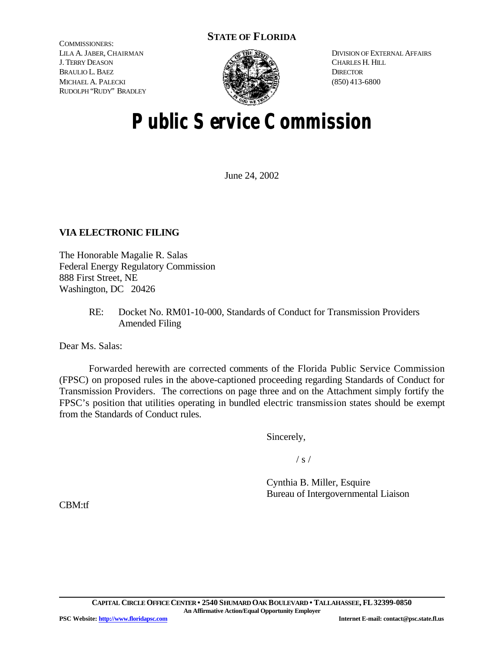# **STATE OF FLORIDA**

COMMISSIONERS: LILA A. JABER, CHAIRMAN J. TERRY DEASON BRAULIO L. BAEZ MICHAEL A. PALECKI RUDOLPH "RUDY" BRADLEY



DIVISION OF EXTERNAL AFFAIRS CHARLES H. HILL **DIRECTOR** (850) 413-6800

# **Public Service Commission**

June 24, 2002

# **VIA ELECTRONIC FILING**

The Honorable Magalie R. Salas Federal Energy Regulatory Commission 888 First Street, NE Washington, DC 20426

> RE: Docket No. RM01-10-000, Standards of Conduct for Transmission Providers Amended Filing

Dear Ms. Salas:

Forwarded herewith are corrected comments of the Florida Public Service Commission (FPSC) on proposed rules in the above-captioned proceeding regarding Standards of Conduct for Transmission Providers. The corrections on page three and on the Attachment simply fortify the FPSC's position that utilities operating in bundled electric transmission states should be exempt from the Standards of Conduct rules.

Sincerely,

 $/ s /$ 

Cynthia B. Miller, Esquire Bureau of Intergovernmental Liaison

CBM:tf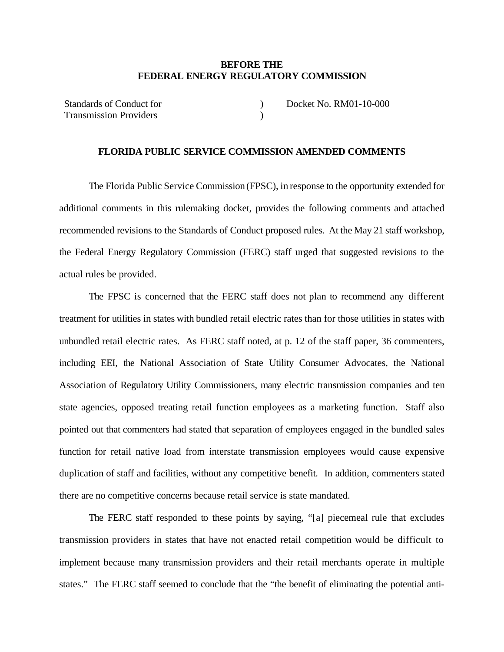# **BEFORE THE FEDERAL ENERGY REGULATORY COMMISSION**

Standards of Conduct for Transmission Providers )  $\lambda$ Docket No. RM01-10-000

## **FLORIDA PUBLIC SERVICE COMMISSION AMENDED COMMENTS**

The Florida Public Service Commission (FPSC), in response to the opportunity extended for additional comments in this rulemaking docket, provides the following comments and attached recommended revisions to the Standards of Conduct proposed rules. At the May 21 staff workshop, the Federal Energy Regulatory Commission (FERC) staff urged that suggested revisions to the actual rules be provided.

The FPSC is concerned that the FERC staff does not plan to recommend any different treatment for utilities in states with bundled retail electric rates than for those utilities in states with unbundled retail electric rates. As FERC staff noted, at p. 12 of the staff paper, 36 commenters, including EEI, the National Association of State Utility Consumer Advocates, the National Association of Regulatory Utility Commissioners, many electric transmission companies and ten state agencies, opposed treating retail function employees as a marketing function. Staff also pointed out that commenters had stated that separation of employees engaged in the bundled sales function for retail native load from interstate transmission employees would cause expensive duplication of staff and facilities, without any competitive benefit. In addition, commenters stated there are no competitive concerns because retail service is state mandated.

The FERC staff responded to these points by saying, "[a] piecemeal rule that excludes transmission providers in states that have not enacted retail competition would be difficult to implement because many transmission providers and their retail merchants operate in multiple states." The FERC staff seemed to conclude that the "the benefit of eliminating the potential anti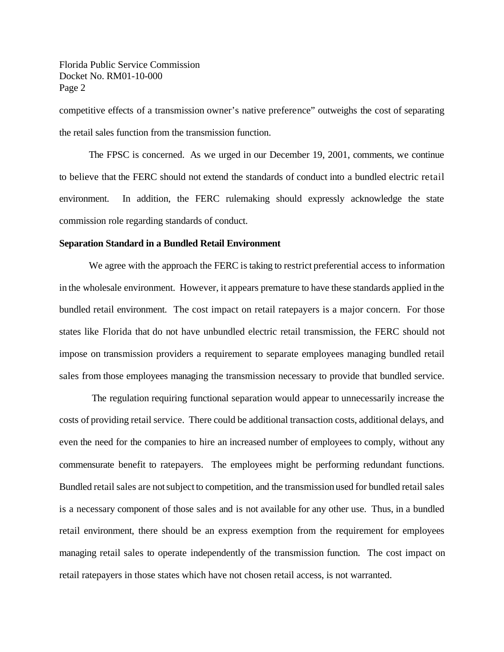Florida Public Service Commission Docket No. RM01-10-000 Page 2

competitive effects of a transmission owner's native preference" outweighs the cost of separating the retail sales function from the transmission function.

The FPSC is concerned. As we urged in our December 19, 2001, comments, we continue to believe that the FERC should not extend the standards of conduct into a bundled electric retail environment. In addition, the FERC rulemaking should expressly acknowledge the state commission role regarding standards of conduct.

#### **Separation Standard in a Bundled Retail Environment**

We agree with the approach the FERC is taking to restrict preferential access to information in the wholesale environment. However, it appears premature to have these standards applied in the bundled retail environment. The cost impact on retail ratepayers is a major concern. For those states like Florida that do not have unbundled electric retail transmission, the FERC should not impose on transmission providers a requirement to separate employees managing bundled retail sales from those employees managing the transmission necessary to provide that bundled service.

The regulation requiring functional separation would appear to unnecessarily increase the costs of providing retail service. There could be additional transaction costs, additional delays, and even the need for the companies to hire an increased number of employees to comply, without any commensurate benefit to ratepayers. The employees might be performing redundant functions. Bundled retail sales are notsubject to competition, and the transmission used for bundled retail sales is a necessary component of those sales and is not available for any other use. Thus, in a bundled retail environment, there should be an express exemption from the requirement for employees managing retail sales to operate independently of the transmission function. The cost impact on retail ratepayers in those states which have not chosen retail access, is not warranted.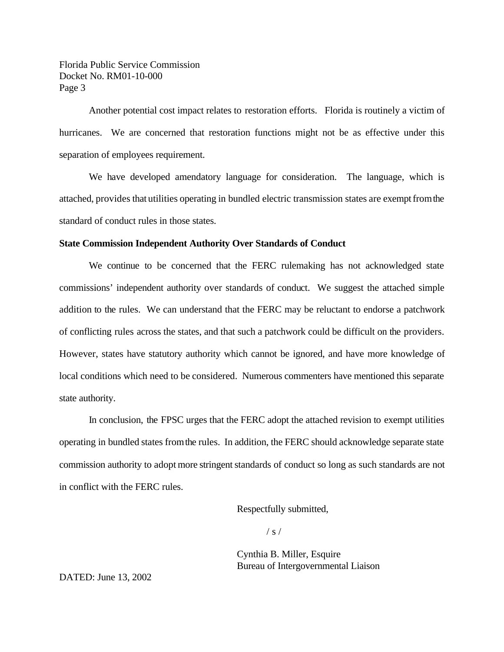Florida Public Service Commission Docket No. RM01-10-000 Page 3

Another potential cost impact relates to restoration efforts. Florida is routinely a victim of hurricanes. We are concerned that restoration functions might not be as effective under this separation of employees requirement.

We have developed amendatory language for consideration. The language, which is attached, provides that utilities operating in bundled electric transmission states are exempt from the standard of conduct rules in those states.

#### **State Commission Independent Authority Over Standards of Conduct**

We continue to be concerned that the FERC rulemaking has not acknowledged state commissions' independent authority over standards of conduct. We suggest the attached simple addition to the rules. We can understand that the FERC may be reluctant to endorse a patchwork of conflicting rules across the states, and that such a patchwork could be difficult on the providers. However, states have statutory authority which cannot be ignored, and have more knowledge of local conditions which need to be considered. Numerous commenters have mentioned this separate state authority.

In conclusion, the FPSC urges that the FERC adopt the attached revision to exempt utilities operating in bundled states fromthe rules. In addition, the FERC should acknowledge separate state commission authority to adopt more stringent standards of conduct so long as such standards are not in conflict with the FERC rules.

Respectfully submitted,

 $/ s /$ 

Cynthia B. Miller, Esquire Bureau of Intergovernmental Liaison

DATED: June 13, 2002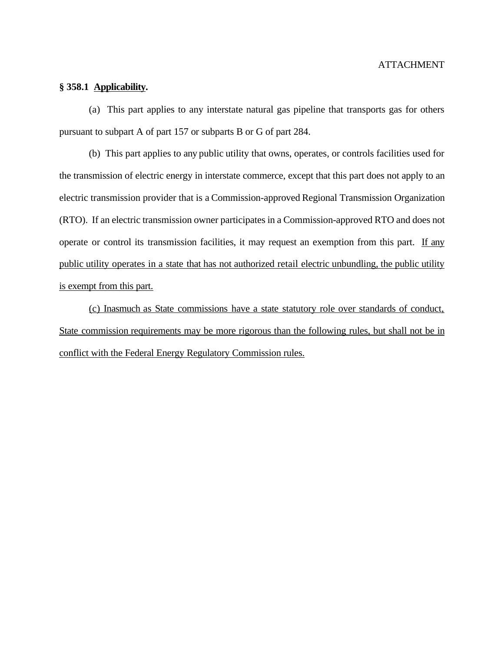### **§ 358.1 Applicability.**

(a) This part applies to any interstate natural gas pipeline that transports gas for others pursuant to subpart A of part 157 or subparts B or G of part 284.

(b) This part applies to any public utility that owns, operates, or controls facilities used for the transmission of electric energy in interstate commerce, except that this part does not apply to an electric transmission provider that is a Commission-approved Regional Transmission Organization (RTO). If an electric transmission owner participates in a Commission-approved RTO and does not operate or control its transmission facilities, it may request an exemption from this part. If any public utility operates in a state that has not authorized retail electric unbundling, the public utility is exempt from this part.

(c) Inasmuch as State commissions have a state statutory role over standards of conduct, State commission requirements may be more rigorous than the following rules, but shall not be in conflict with the Federal Energy Regulatory Commission rules.